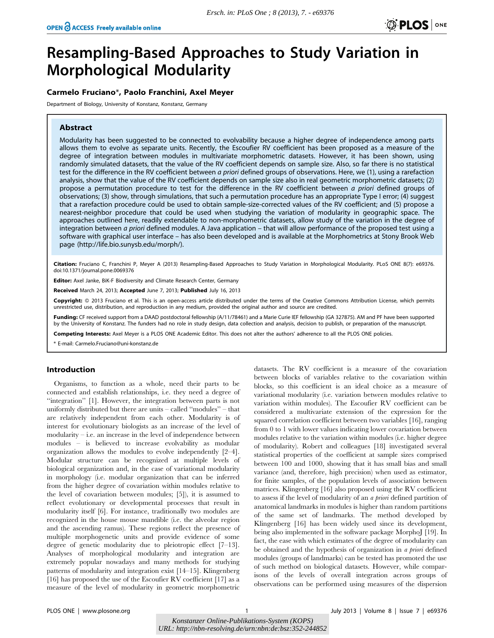# Resampling-Based Approaches to Study Variation in Morphological Modularity

# Carmelo Fruciano\*, Paolo Franchini, Axel Meyer

Department of Biology, University of Konstanz, Konstanz, Germany

# Abstract

Modularity has been suggested to be connected to evolvability because a higher degree of independence among parts allows them to evolve as separate units. Recently, the Escoufier RV coefficient has been proposed as a measure of the degree of integration between modules in multivariate morphometric datasets. However, it has been shown, using randomly simulated datasets, that the value of the RV coefficient depends on sample size. Also, so far there is no statistical test for the difference in the RV coefficient between a priori defined groups of observations. Here, we (1), using a rarefaction analysis, show that the value of the RV coefficient depends on sample size also in real geometric morphometric datasets; (2) propose a permutation procedure to test for the difference in the RV coefficient between a priori defined groups of observations; (3) show, through simulations, that such a permutation procedure has an appropriate Type I error; (4) suggest that a rarefaction procedure could be used to obtain sample-size-corrected values of the RV coefficient; and (5) propose a nearest-neighbor procedure that could be used when studying the variation of modularity in geographic space. The approaches outlined here, readily extendable to non-morphometric datasets, allow study of the variation in the degree of integration between a priori defined modules. A Java application – that will allow performance of the proposed test using a software with graphical user interface – has also been developed and is available at the Morphometrics at Stony Brook Web page (http://life.bio.sunysb.edu/morph/).

Citation: Fruciano C, Franchini P, Meyer A (2013) Resampling-Based Approaches to Study Variation in Morphological Modularity. PLoS ONE 8(7): e69376. doi:10.1371/journal.pone.0069376

Editor: Axel Janke, BiK-F Biodiversity and Climate Research Center, Germany

Received March 24, 2013; Accepted June 7, 2013; Published July 16, 2013

Copyright: © 2013 Fruciano et al. This is an open-access article distributed under the terms of the Creative Commons Attribution License, which permits unrestricted use, distribution, and reproduction in any medium, provided the original author and source are credited.

Funding: CF received support from a DAAD postdoctoral fellowship (A/11/78461) and a Marie Curie IEF fellowship (GA 327875). AM and PF have been supported by the University of Konstanz. The funders had no role in study design, data collection and analysis, decision to publish, or preparation of the manuscript.

Competing Interests: Axel Meyer is a PLOS ONE Academic Editor. This does not alter the authors' adherence to all the PLOS ONE policies.

\* E-mail: Carmelo.Fruciano@uni-konstanz.de

## Introduction

Organisms, to function as a whole, need their parts to be connected and establish relationships, i.e. they need a degree of "integration" [1]. However, the integration between parts is not uniformly distributed but there are units – called ''modules'' – that are relatively independent from each other. Modularity is of interest for evolutionary biologists as an increase of the level of modularity – i.e. an increase in the level of independence between modules – is believed to increase evolvability as modular organization allows the modules to evolve independently [2–4]. Modular structure can be recognized at multiple levels of biological organization and, in the case of variational modularity in morphology (i.e. modular organization that can be inferred from the higher degree of covariation within modules relative to the level of covariation between modules; [5]), it is assumed to reflect evolutionary or developmental processes that result in modularity itself [6]. For instance, traditionally two modules are recognized in the house mouse mandible (i.e. the alveolar region and the ascending ramus). These regions reflect the presence of multiple morphogenetic units and provide evidence of some degree of genetic modularity due to pleiotropic effect [7–13]. Analyses of morphological modularity and integration are extremely popular nowadays and many methods for studying patterns of modularity and integration exist [14–15]. Klingenberg [16] has proposed the use of the Escoufier RV coefficient [17] as a measure of the level of modularity in geometric morphometric

datasets. The RV coefficient is a measure of the covariation between blocks of variables relative to the covariation within blocks, so this coefficient is an ideal choice as a measure of variational modularity (i.e. variation between modules relative to variation within modules). The Escoufier RV coefficient can be considered a multivariate extension of the expression for the squared correlation coefficient between two variables [16], ranging from 0 to 1 with lower values indicating lower covariation between modules relative to the variation within modules (i.e. higher degree of modularity). Robert and colleagues [18] investigated several statistical properties of the coefficient at sample sizes comprised between 100 and 1000, showing that it has small bias and small variance (and, therefore, high precision) when used as estimator, for finite samples, of the population levels of association between matrices. Klingenberg [16] also proposed using the RV coefficient to assess if the level of modularity of an a priori defined partition of anatomical landmarks in modules is higher than random partitions of the same set of landmarks. The method developed by Klingenberg [16] has been widely used since its development, being also implemented in the software package MorphoJ [19]. In fact, the ease with which estimates of the degree of modularity can be obtained and the hypothesis of organization in a priori defined modules (groups of landmarks) can be tested has promoted the use of such method on biological datasets. However, while comparisons of the levels of overall integration across groups of observations can be performed using measures of the dispersion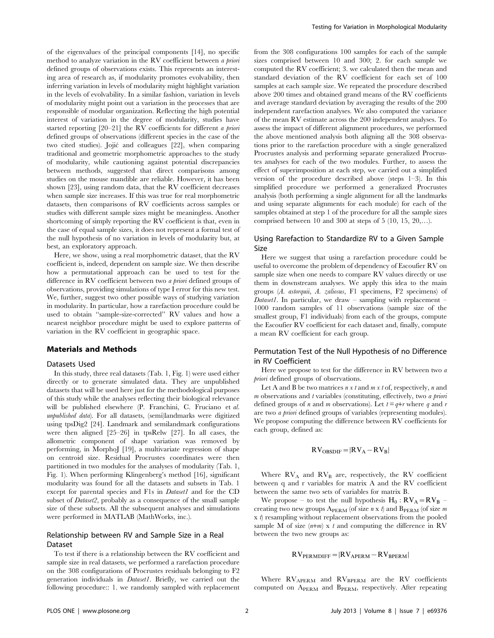of the eigenvalues of the principal components [14], no specific method to analyze variation in the RV coefficient between a priori defined groups of observations exists. This represents an interesting area of research as, if modularity promotes evolvability, then inferring variation in levels of modularity might highlight variation in the levels of evolvability. In a similar fashion, variation in levels of modularity might point out a variation in the processes that are responsible of modular organization. Reflecting the high potential interest of variation in the degree of modularity, studies have started reporting [20–21] the RV coefficients for different a priori defined groups of observations (different species in the case of the two cited studies). Jojic´ and colleagues [22], when comparing traditional and geometric morphometric approaches to the study of modularity, while cautioning against potential discrepancies between methods, suggested that direct comparisons among studies on the mouse mandible are reliable. However, it has been shown [23], using random data, that the RV coefficient decreases when sample size increases. If this was true for real morphometric datasets, then comparisons of RV coefficients across samples or studies with different sample sizes might be meaningless. Another shortcoming of simply reporting the RV coefficient is that, even in the case of equal sample sizes, it does not represent a formal test of the null hypothesis of no variation in levels of modularity but, at best, an exploratory approach.

Here, we show, using a real morphometric dataset, that the RV coefficient is, indeed, dependent on sample size. We then describe how a permutational approach can be used to test for the difference in RV coefficient between two a priori defined groups of observations, providing simulations of type I error for this new test. We, further, suggest two other possible ways of studying variation in modularity. In particular, how a rarefaction procedure could be used to obtain ''sample-size-corrected'' RV values and how a nearest neighbor procedure might be used to explore patterns of variation in the RV coefficient in geographic space.

#### Materials and Methods

# Datasets Used

In this study, three real datasets (Tab. 1, Fig. 1) were used either directly or to generate simulated data. They are unpublished datasets that will be used here just for the methodological purposes of this study while the analyses reflecting their biological relevance will be published elsewhere (P. Franchini, C. Fruciano et al. unpublished data). For all datasets, (semi)landmarks were digitized using tpsDig2 [24]. Landmark and semilandmark configurations were then aligned [25–26] in tpsRelw [27]. In all cases, the allometric component of shape variation was removed by performing, in MorphoJ [19], a multivariate regression of shape on centroid size. Residual Procrustes coordinates were then partitioned in two modules for the analyses of modularity (Tab. 1, Fig. 1). When performing Klingenberg's method [16], significant modularity was found for all the datasets and subsets in Tab. 1 except for parental species and F1s in *Dataset1* and for the CD subset of *Dataset2*, probably as a consequence of the small sample size of these subsets. All the subsequent analyses and simulations were performed in MATLAB (MathWorks, inc.).

## Relationship between RV and Sample Size in a Real Dataset

To test if there is a relationship between the RV coefficient and sample size in real datasets, we performed a rarefaction procedure on the 308 configurations of Procrustes residuals belonging to F2 generation individuals in Dataset1. Briefly, we carried out the following procedure:: 1. we randomly sampled with replacement from the 308 configurations 100 samples for each of the sample sizes comprised between 10 and 300; 2. for each sample we computed the RV coefficient; 3. we calculated then the mean and standard deviation of the RV coefficient for each set of 100 samples at each sample size. We repeated the procedure described above 200 times and obtained grand means of the RV coefficients and average standard deviation by averaging the results of the 200 independent rarefaction analyses. We also computed the variance of the mean RV estimate across the 200 independent analyses. To assess the impact of different alignment procedures, we performed the above mentioned analysis both aligning all the 308 observations prior to the rarefaction procedure with a single generalized Procrustes analysis and performing separate generalized Procrustes analyses for each of the two modules. Further, to assess the effect of superimposition at each step, we carried out a simplified version of the procedure described above (steps 1–3). In this simplified procedure we performed a generalized Procrustes analysis (both performing a single alignment for all the landmarks and using separate alignments for each module) for each of the samples obtained at step 1 of the procedure for all the sample sizes comprised between 10 and 300 at steps of 5 (10, 15, 20,…).

# Using Rarefaction to Standardize RV to a Given Sample Size

Here we suggest that using a rarefaction procedure could be useful to overcome the problem of dependency of Escoufier RV on sample size when one needs to compare RV values directly or use them in downstream analyses. We apply this idea to the main groups (A. astorquii, A. zaliosus, F1 specimens, F2 specimens) of Dataset1. In particular, we draw – sampling with replacement – 1000 random samples of 11 observations (sample size of the smallest group, F1 individuals) from each of the groups, compute the Escoufier RV coefficient for each dataset and, finally, compute a mean RV coefficient for each group.

# Permutation Test of the Null Hypothesis of no Difference in RV Coefficient

Here we propose to test for the difference in RV between two  $a$ priori defined groups of observations.

Let A and B be two matrices  $n \times t$  and  $m \times t$  of, respectively, n and  $m$  observations and  $t$  variables (constituting, effectively, two  $a$  priori defined groups of n and m observations). Let  $t = q+r$  where q and r are two a priori defined groups of variables (representing modules). We propose computing the difference between RV coefficients for each group, defined as:

$$
RV_{OBSDIF} = |RV_A - RV_B|
$$

Where  $RV_A$  and  $RV_B$  are, respectively, the RV coefficient between q and r variables for matrix A and the RV coefficient between the same two sets of variables for matrix B.

We propose – to test the null hypothesis  $H_0$ :  $RV_A = RV_B$  – creating two new groups  $A_{PERM}$  (of size n x t) and  $B_{PERM}$  (of size m  $x$  t) resampling without replacement observations from the pooled sample M of size  $(n+m)$  x t and computing the difference in RV between the two new groups as:

$$
RV_{PERMDIFF} = |RV_{APERM} - RV_{BPERM}|
$$

Where  $RV_{APERM}$  and  $RV_{BPERM}$  are the RV coefficients computed on APERM and BPERM, respectively. After repeating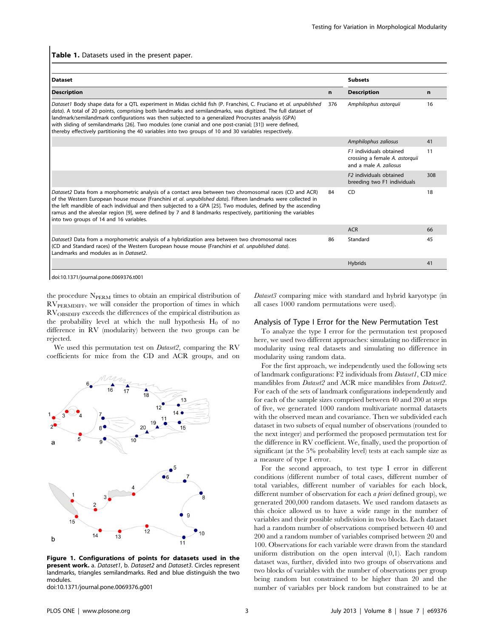#### Table 1. Datasets used in the present paper.

| <b>Dataset</b>                                                                                                                                                                                                                                                                                                                                                                                                                                                                                                                                              |     | <b>Subsets</b>                                                                      |     |
|-------------------------------------------------------------------------------------------------------------------------------------------------------------------------------------------------------------------------------------------------------------------------------------------------------------------------------------------------------------------------------------------------------------------------------------------------------------------------------------------------------------------------------------------------------------|-----|-------------------------------------------------------------------------------------|-----|
| <b>Description</b>                                                                                                                                                                                                                                                                                                                                                                                                                                                                                                                                          | n   | <b>Description</b>                                                                  | n   |
| Dataset1 Body shape data for a QTL experiment in Midas cichlid fish (P. Franchini, C. Fruciano et al. unpublished<br>data). A total of 20 points, comprising both landmarks and semilandmarks, was digitized. The full dataset of<br>landmark/semilandmark configurations was then subjected to a generalized Procrustes analysis (GPA)<br>with sliding of semilandmarks [26]. Two modules (one cranial and one post-cranial; [31]) were defined,<br>thereby effectively partitioning the 40 variables into two groups of 10 and 30 variables respectively. | 376 | Amphilophus astorquii                                                               | 16  |
|                                                                                                                                                                                                                                                                                                                                                                                                                                                                                                                                                             |     | Amphilophus zaliosus                                                                | 41  |
|                                                                                                                                                                                                                                                                                                                                                                                                                                                                                                                                                             |     | F1 individuals obtained<br>crossing a female A. astorquii<br>and a male A. zaliosus | 11  |
|                                                                                                                                                                                                                                                                                                                                                                                                                                                                                                                                                             |     | F <sub>2</sub> individuals obtained<br>breeding two F1 individuals                  | 308 |
| Dataset2 Data from a morphometric analysis of a contact area between two chromosomal races (CD and ACR)<br>of the Western European house mouse (Franchini et al. unpublished data). Fifteen landmarks were collected in<br>the left mandible of each individual and then subjected to a GPA [25]. Two modules, defined by the ascending<br>ramus and the alveolar region [9], were defined by 7 and 8 landmarks respectively, partitioning the variables<br>into two groups of 14 and 16 variables.                                                         | 84  | CD                                                                                  | 18  |
|                                                                                                                                                                                                                                                                                                                                                                                                                                                                                                                                                             |     | <b>ACR</b>                                                                          | 66  |
| Dataset3 Data from a morphometric analysis of a hybridization area between two chromosomal races<br>(CD and Standard races) of the Western European house mouse (Franchini et al. unpublished data).<br>Landmarks and modules as in Dataset2.                                                                                                                                                                                                                                                                                                               | 86  | Standard                                                                            | 45  |
|                                                                                                                                                                                                                                                                                                                                                                                                                                                                                                                                                             |     | <b>Hybrids</b>                                                                      | 41  |

doi:10.1371/journal.pone.0069376.t001

the procedure N<sub>PERM</sub> times to obtain an empirical distribution of  $RV_{PERMDIFF}$ , we will consider the proportion of times in which RVOBSDIFF exceeds the differences of the empirical distribution as the probability level at which the null hypothesis  $H_0$  of no difference in RV (modularity) between the two groups can be rejected.

We used this permutation test on *Dataset2*, comparing the RV coefficients for mice from the CD and ACR groups, and on



Figure 1. Configurations of points for datasets used in the present work. a. Dataset1, b. Dataset2 and Dataset3. Circles represent landmarks, triangles semilandmarks. Red and blue distinguish the two modules.

doi:10.1371/journal.pone.0069376.g001

Dataset3 comparing mice with standard and hybrid karyotype (in all cases 1000 random permutations were used).

#### Analysis of Type I Error for the New Permutation Test

To analyze the type I error for the permutation test proposed here, we used two different approaches: simulating no difference in modularity using real datasets and simulating no difference in modularity using random data.

For the first approach, we independently used the following sets of landmark configurations: F2 individuals from Dataset1, CD mice mandibles from Dataset2 and ACR mice mandibles from Dataset2. For each of the sets of landmark configurations independently and for each of the sample sizes comprised between 40 and 200 at steps of five, we generated 1000 random multivariate normal datasets with the observed mean and covariance. Then we subdivided each dataset in two subsets of equal number of observations (rounded to the next integer) and performed the proposed permutation test for the difference in RV coefficient. We, finally, used the proportion of significant (at the 5% probability level) tests at each sample size as a measure of type I error.

For the second approach, to test type I error in different conditions (different number of total cases, different number of total variables, different number of variables for each block, different number of observation for each *a priori* defined group), we generated 200,000 random datasets. We used random datasets as this choice allowed us to have a wide range in the number of variables and their possible subdivision in two blocks. Each dataset had a random number of observations comprised between 40 and 200 and a random number of variables comprised between 20 and 100. Observations for each variable were drawn from the standard uniform distribution on the open interval (0,1). Each random dataset was, further, divided into two groups of observations and two blocks of variables with the number of observations per group being random but constrained to be higher than 20 and the number of variables per block random but constrained to be at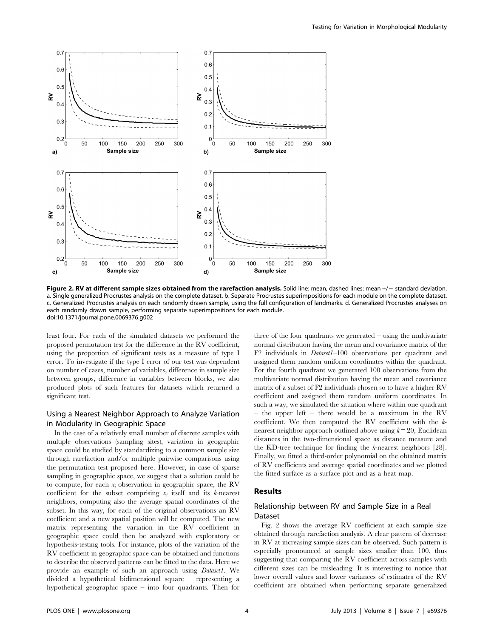

Figure 2. RV at different sample sizes obtained from the rarefaction analysis. Solid line: mean, dashed lines: mean +/- standard deviation. a. Single generalized Procrustes analysis on the complete dataset. b. Separate Procrustes superimpositions for each module on the complete dataset. c. Generalized Procrustes analysis on each randomly drawn sample, using the full configuration of landmarks. d. Generalized Procrustes analyses on each randomly drawn sample, performing separate superimpositions for each module. doi:10.1371/journal.pone.0069376.g002

least four. For each of the simulated datasets we performed the proposed permutation test for the difference in the RV coefficient, using the proportion of significant tests as a measure of type I error. To investigate if the type I error of our test was dependent on number of cases, number of variables, difference in sample size between groups, difference in variables between blocks, we also produced plots of such features for datasets which returned a significant test.

## Using a Nearest Neighbor Approach to Analyze Variation in Modularity in Geographic Space

In the case of a relatively small number of discrete samples with multiple observations (sampling sites), variation in geographic space could be studied by standardizing to a common sample size through rarefaction and/or multiple pairwise comparisons using the permutation test proposed here. However, in case of sparse sampling in geographic space, we suggest that a solution could be to compute, for each  $x_i$  observation in geographic space, the RV coefficient for the subset comprising  $x_i$  itself and its k-nearest neighbors, computing also the average spatial coordinates of the subset. In this way, for each of the original observations an RV coefficient and a new spatial position will be computed. The new matrix representing the variation in the RV coefficient in geographic space could then be analyzed with exploratory or hypothesis-testing tools. For instance, plots of the variation of the RV coefficient in geographic space can be obtained and functions to describe the observed patterns can be fitted to the data. Here we provide an example of such an approach using Dataset1. We divided a hypothetical bidimensional square – representing a hypothetical geographic space – into four quadrants. Then for

three of the four quadrants we generated – using the multivariate normal distribution having the mean and covariance matrix of the F2 individuals in Dataset1–100 observations per quadrant and assigned them random uniform coordinates within the quadrant. For the fourth quadrant we generated 100 observations from the multivariate normal distribution having the mean and covariance matrix of a subset of F2 individuals chosen so to have a higher RV coefficient and assigned them random uniform coordinates. In such a way, we simulated the situation where within one quadrant – the upper left – there would be a maximum in the RV coefficient. We then computed the RV coefficient with the knearest neighbor approach outlined above using  $k = 20$ , Euclidean distances in the two-dimensional space as distance measure and the KD-tree technique for finding the k-nearest neighbors [28]. Finally, we fitted a third-order polynomial on the obtained matrix of RV coefficients and average spatial coordinates and we plotted the fitted surface as a surface plot and as a heat map.

# Results

# Relationship between RV and Sample Size in a Real Dataset

Fig. 2 shows the average RV coefficient at each sample size obtained through rarefaction analysis. A clear pattern of decrease in RV at increasing sample sizes can be observed. Such pattern is especially pronounced at sample sizes smaller than 100, thus suggesting that comparing the RV coefficient across samples with different sizes can be misleading. It is interesting to notice that lower overall values and lower variances of estimates of the RV coefficient are obtained when performing separate generalized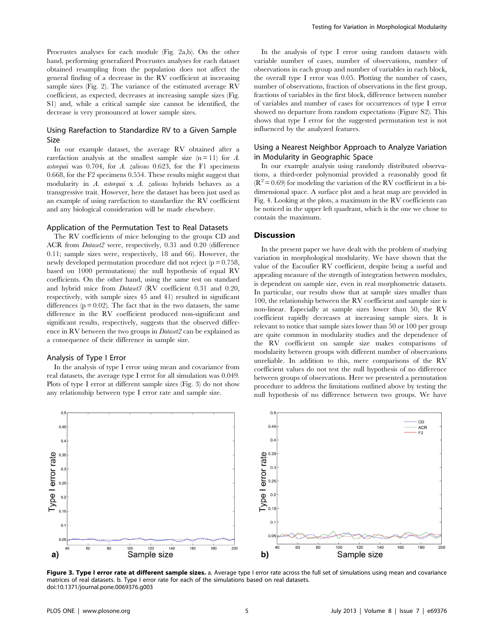Procrustes analyses for each module (Fig. 2a,b). On the other hand, performing generalized Procrustes analyses for each dataset obtained resampling from the population does not affect the general finding of a decrease in the RV coefficient at increasing sample sizes (Fig. 2). The variance of the estimated average RV coefficient, as expected, decreases at increasing sample sizes (Fig. S1) and, while a critical sample size cannot be identified, the decrease is very pronounced at lower sample sizes.

## Using Rarefaction to Standardize RV to a Given Sample Size

In our example dataset, the average RV obtained after a rarefaction analysis at the smallest sample size  $(n = 11)$  for A. astorquii was  $0.704$ , for A. zaliosus  $0.623$ , for the F1 specimens 0.668, for the F2 specimens 0.554. These results might suggest that modularity in A. astorquii x A. zaliosus hybrids behaves as a transgressive trait. However, here the dataset has been just used as an example of using rarefaction to standardize the RV coefficient and any biological consideration will be made elsewhere.

#### Application of the Permutation Test to Real Datasets

The RV coefficients of mice belonging to the groups CD and ACR from Dataset2 were, respectively, 0.31 and 0.20 (difference 0.11; sample sizes were, respectively, 18 and 66). However, the newly developed permutation procedure did not reject ( $p = 0.758$ , based on 1000 permutations) the null hypothesis of equal RV coefficients. On the other hand, using the same test on standard and hybrid mice from Dataset3 (RV coefficient 0.31 and 0.20, respectively, with sample sizes 45 and 41) resulted in significant differences ( $p = 0.02$ ). The fact that in the two datasets, the same difference in the RV coefficient produced non-significant and significant results, respectively, suggests that the observed difference in RV between the two groups in Dataset2 can be explained as a consequence of their difference in sample size.

#### Analysis of Type I Error

In the analysis of type I error using mean and covariance from real datasets, the average type I error for all simulation was 0.049. Plots of type I error at different sample sizes (Fig. 3) do not show any relationship between type I error rate and sample size.

In the analysis of type I error using random datasets with variable number of cases, number of observations, number of observations in each group and number of variables in each block, the overall type I error was 0.05. Plotting the number of cases, number of observations, fraction of observations in the first group, fractions of variables in the first block, difference between number of variables and number of cases for occurrences of type I error showed no departure from random expectations (Figure S2). This shows that type I error for the suggested permutation test is not influenced by the analyzed features.

## Using a Nearest Neighbor Approach to Analyze Variation in Modularity in Geographic Space

In our example analysis using randomly distributed observations, a third-order polynomial provided a reasonably good fit  $(R^2 = 0.69)$  for modeling the variation of the RV coefficient in a bidimensional space. A surface plot and a heat map are provided in Fig. 4. Looking at the plots, a maximum in the RV coefficients can be noticed in the upper left quadrant, which is the one we chose to contain the maximum.

#### **Discussion**

In the present paper we have dealt with the problem of studying variation in morphological modularity. We have shown that the value of the Escoufier RV coefficient, despite being a useful and appealing measure of the strength of integration between modules, is dependent on sample size, even in real morphometric datasets. In particular, our results show that at sample sizes smaller than 100, the relationship between the RV coefficient and sample size is non-linear. Especially at sample sizes lower than 50, the RV coefficient rapidly decreases at increasing sample sizes. It is relevant to notice that sample sizes lower than 50 or 100 per group are quite common in modularity studies and the dependence of the RV coefficient on sample size makes comparisons of modularity between groups with different number of observations unreliable. In addition to this, mere comparisons of the RV coefficient values do not test the null hypothesis of no difference between groups of observations. Here we presented a permutation procedure to address the limitations outlined above by testing the null hypothesis of no difference between two groups. We have



Figure 3. Type I error rate at different sample sizes. a. Average type I error rate across the full set of simulations using mean and covariance matrices of real datasets. b. Type I error rate for each of the simulations based on real datasets. doi:10.1371/journal.pone.0069376.g003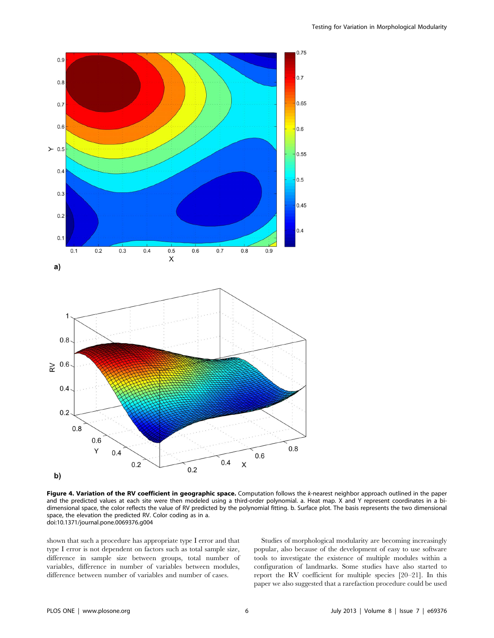

Figure 4. Variation of the RV coefficient in geographic space. Computation follows the k-nearest neighbor approach outlined in the paper and the predicted values at each site were then modeled using a third-order polynomial. a. Heat map. X and Y represent coordinates in a bidimensional space, the color reflects the value of RV predicted by the polynomial fitting. b. Surface plot. The basis represents the two dimensional space, the elevation the predicted RV. Color coding as in a. doi:10.1371/journal.pone.0069376.g004

shown that such a procedure has appropriate type I error and that type I error is not dependent on factors such as total sample size, difference in sample size between groups, total number of variables, difference in number of variables between modules, difference between number of variables and number of cases.

Studies of morphological modularity are becoming increasingly popular, also because of the development of easy to use software tools to investigate the existence of multiple modules within a configuration of landmarks. Some studies have also started to report the RV coefficient for multiple species [20–21]. In this paper we also suggested that a rarefaction procedure could be used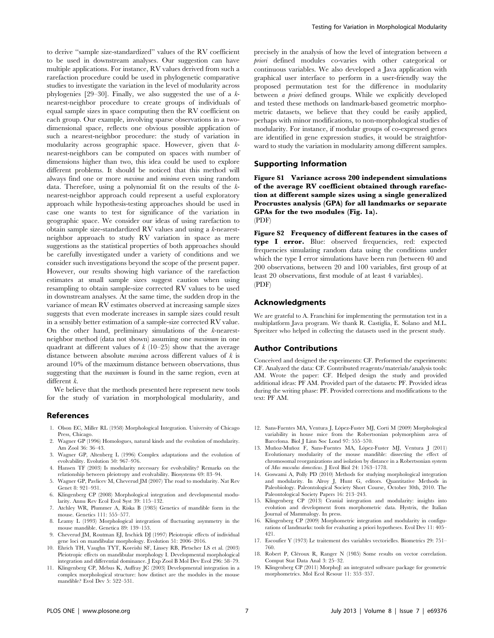to derive ''sample size-standardized'' values of the RV coefficient to be used in downstream analyses. Our suggestion can have multiple applications. For instance, RV values derived from such a rarefaction procedure could be used in phylogenetic comparative studies to investigate the variation in the level of modularity across phylogenies [29–30]. Finally, we also suggested the use of a knearest-neighbor procedure to create groups of individuals of equal sample sizes in space computing then the RV coefficient on each group. Our example, involving sparse observations in a twodimensional space, reflects one obvious possible application of such a nearest-neighbor procedure: the study of variation in modularity across geographic space. However, given that knearest-neighbors can be computed on spaces with number of dimensions higher than two, this idea could be used to explore different problems. It should be noticed that this method will always find one or more maxima and minima even using random data. Therefore, using a polynomial fit on the results of the knearest-neighbor approach could represent a useful exploratory approach while hypothesis-testing approaches should be used in case one wants to test for significance of the variation in geographic space. We consider our ideas of using rarefaction to obtain sample size-standardized RV values and using a k-nearestneighbor approach to study RV variation in space as mere suggestions as the statistical properties of both approaches should be carefully investigated under a variety of conditions and we consider such investigations beyond the scope of the present paper. However, our results showing high variance of the rarefaction estimates at small sample sizes suggest caution when using resampling to obtain sample-size corrected RV values to be used in downstream analyses. At the same time, the sudden drop in the variance of mean RV estimates observed at increasing sample sizes suggests that even moderate increases in sample sizes could result in a sensibly better estimation of a sample-size corrected RV value. On the other hand, preliminary simulations of the k-nearestneighbor method (data not shown) assuming one maximum in one quadrant at different values of  $k$  (10–25) show that the average distance between absolute *maxima* across different values of  $k$  is around 10% of the maximum distance between observations, thus suggesting that the maximum is found in the same region, even at different k.

We believe that the methods presented here represent new tools for the study of variation in morphological modularity, and

#### References

- 1. Olson EC, Miller RL (1958) Morphological Integration. University of Chicago Press, Chicago.
- 2. Wagner GP (1996) Homologues, natural kinds and the evolution of modularity. Am Zool 36: 36–43.
- 3. Wagner GP, Altenberg L (1996) Complex adaptations and the evolution of evolvability. Evolution 50: 967–976.
- 4. Hansen TF (2003) Is modularity necessary for evolvability? Remarks on the relationship between pleiotropy and evolvability. Biosystems 69: 83–94.
- 5. Wagner GP, Pavlicev M, Cheverud JM (2007) The road to modularity. Nat Rev Genet 8: 921–931.
- 6. Klingenberg CP (2008) Morphological integration and developmental modularity. Annu Rev Ecol Evol Syst 39: 115–132.
- 7. Atchley WR, Plummer A, Riska B (1985) Genetics of mandible form in the mouse. Genetics 111: 555–577.
- 8. Leamy L (1993) Morphological integration of fluctuating asymmetry in the mouse mandible. Genetica 89: 139–153.
- 9. Cheverud JM, Routman EJ, Irschick DJ (1997) Pleiotropic effects of individual gene loci on mandibular morphology. Evolution 51: 2006–2016.
- 10. Ehrich TH, Vaughn TYT, Koreishi SF, Linsey RB, Pletscher LS et al. (2003) Pleiotropic effects on mandibular morphology I. Developmental morphological integration and differential dominance. J Exp Zool B Mol Dev Evol 296: 58–79.
- 11. Klingenberg CP, Mebus K, Auffray JC (2003) Developmental integration in a complex morphological structure: how distinct are the modules in the mouse mandible? Evol Dev 5: 522–531.

precisely in the analysis of how the level of integration between a priori defined modules co-varies with other categorical or continuous variables. We also developed a Java application with graphical user interface to perform in a user-friendly way the proposed permutation test for the difference in modularity between *a priori* defined groups. While we explicitly developed and tested these methods on landmark-based geometric morphometric datasets, we believe that they could be easily applied, perhaps with minor modifications, to non-morphological studies of modularity. For instance, if modular groups of co-expressed genes are identified in gene expression studies, it would be straightforward to study the variation in modularity among different samples.

#### Supporting Information

Figure S1 Variance across 200 independent simulations of the average RV coefficient obtained through rarefaction at different sample sizes using a single generalized Procrustes analysis (GPA) for all landmarks or separate GPAs for the two modules (Fig. 1a). (PDF)

Figure S2 Frequency of different features in the cases of type I error. Blue: observed frequencies, red: expected frequencies simulating random data using the conditions under which the type I error simulations have been run (between 40 and 200 observations, between 20 and 100 variables, first group of at least 20 observations, first module of at least 4 variables). (PDF)

#### Acknowledgments

We are grateful to A. Franchini for implementing the permutation test in a multiplatform Java program. We thank R. Castiglia, E. Solano and M.L. Spreitzer who helped in collecting the datasets used in the present study.

#### Author Contributions

Conceived and designed the experiments: CF. Performed the experiments: CF. Analyzed the data: CF. Contributed reagents/materials/analysis tools: AM. Wrote the paper: CF. Helped design the study and provided additional ideas: PF AM. Provided part of the datasets: PF. Provided ideas during the writing phase: PF. Provided corrections and modifications to the text: PF AM.

- 12. Sans-Fuentes MA, Ventura J, López-Fuster MJ, Corti M (2009) Morphological variability in house mice from the Robertsonian polymorphism area of Barcelona. Biol J Linn Soc Lond 97: 555–570.
- 13. Muñoz-Muñoz F, Sans-Fuentes MA, López-Fuster MJ, Ventura J (2011) Evolutionary modularity of the mouse mandible: dissecting the effect of chromosomal reorganizations and isolation by distance in a Robertsonian system of Mus musculus domesticus. J Evol Biol 24: 1763–1778.
- 14. Goswami A, Polly PD (2010) Methods for studying morphological integration and modularity. In Alroy J, Hunt G, editors. Quantitative Methods in Paleobiology. Paleontological Society Short Course, October 30th, 2010. The Paleontological Society Papers 16: 213–243.
- 15. Klingenberg CP (2013) Cranial integration and modularity: insights into evolution and development from morphometric data. Hystrix, the Italian Journal of Mammalogy. In press.
- 16. Klingenberg CP (2009) Morphometric integration and modularity in configurations of landmarks: tools for evaluating a priori hypotheses. Evol Dev 11: 405– 421.
- 17. Escoufier Y (1973) Le traitement des variables vectorielles. Biometrics 29: 751– 760.
- 18. Robert P, Cléroux R, Ranger N (1985) Some results on vector correlation. Comput Stat Data Anal 3: 25–32.
- 19. Klingenberg CP (2011) MorphoJ: an integrated software package for geometric morphometrics. Mol Ecol Resour 11: 353–357.